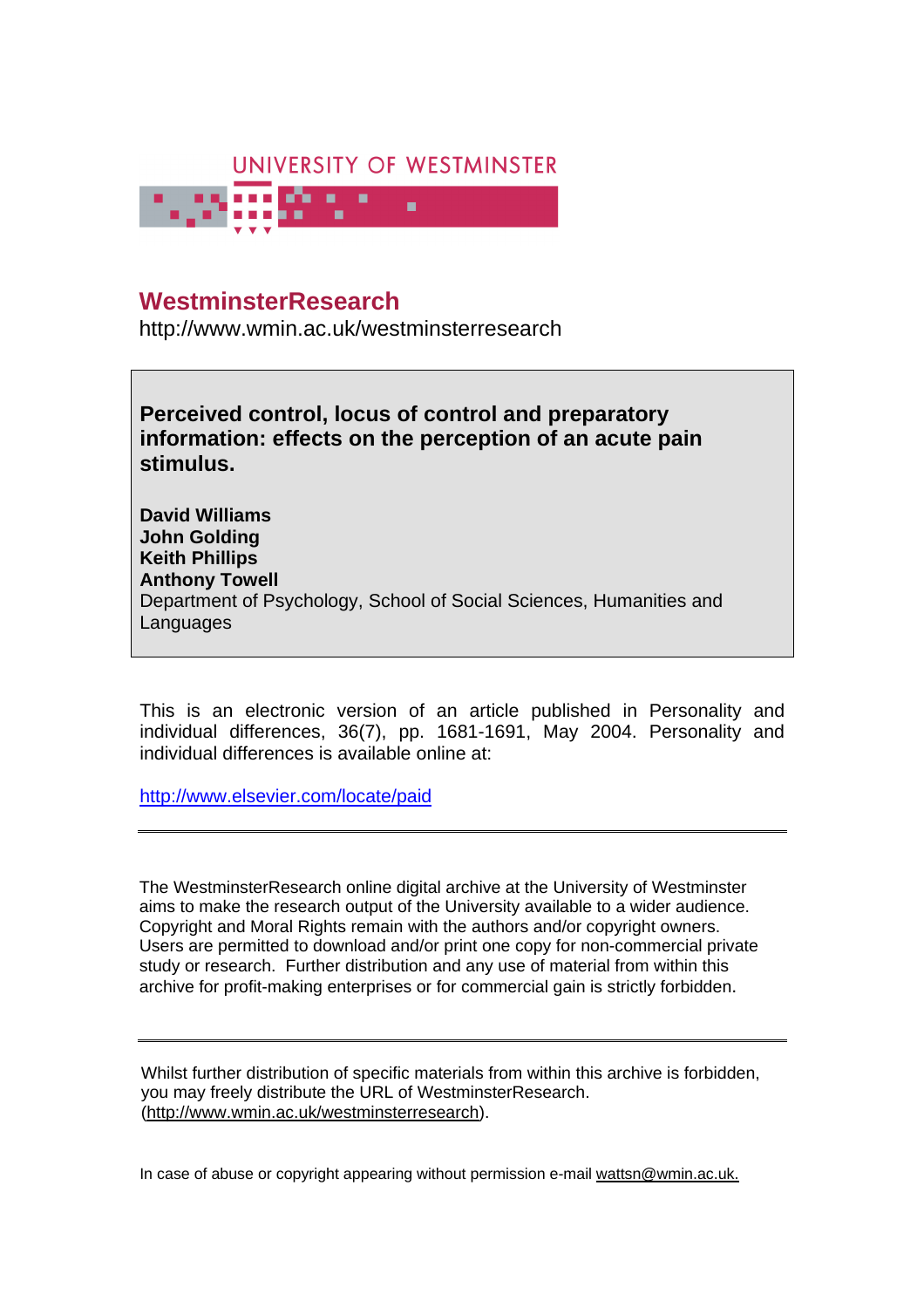

# **WestminsterResearch Exercise 20**

http://www.wmin.ac.uk/westminsterresearch

**Perceived control, locus of control and preparatory information: effects on the perception of an acute pain stimulus.** 

**David Williams John Golding Keith Phillips Anthony Towell**  Department of Psychology, School of Social Sciences, Humanities and **Languages** 

This is an electronic version of an article published in Personality and individual differences, 36(7), pp. 1681-1691, May 2004. Personality and individual differences is available online at:

http://www.elsevier.com/locate/paid

The WestminsterResearch online digital archive at the University of Westminster aims to make the research output of the University available to a wider audience. Copyright and Moral Rights remain with the authors and/or copyright owners. Users are permitted to download and/or print one copy for non-commercial private Users are permitted to download and/or print one copy for non-commercial private study or research. Further distribution and any use of material from within this study or research. Further distribution and any use of material from within this archive for profit-making enterprises or for commercial gain is strictly forbidden. archive for profit-making enterprises or for commercial gain is strictly forbidden.

Whilst further distribution of specific materials from within this archive is forbidden, Whilst further distribution of specific materials from within this archive is forbidden, you may freely distribute the URL of WestminsterResearch. (http://www.wmin.ac.uk/westminsterresearch).

In case of abuse or copyright appearing without permission e-mail wattsn@wmin.ac.uk.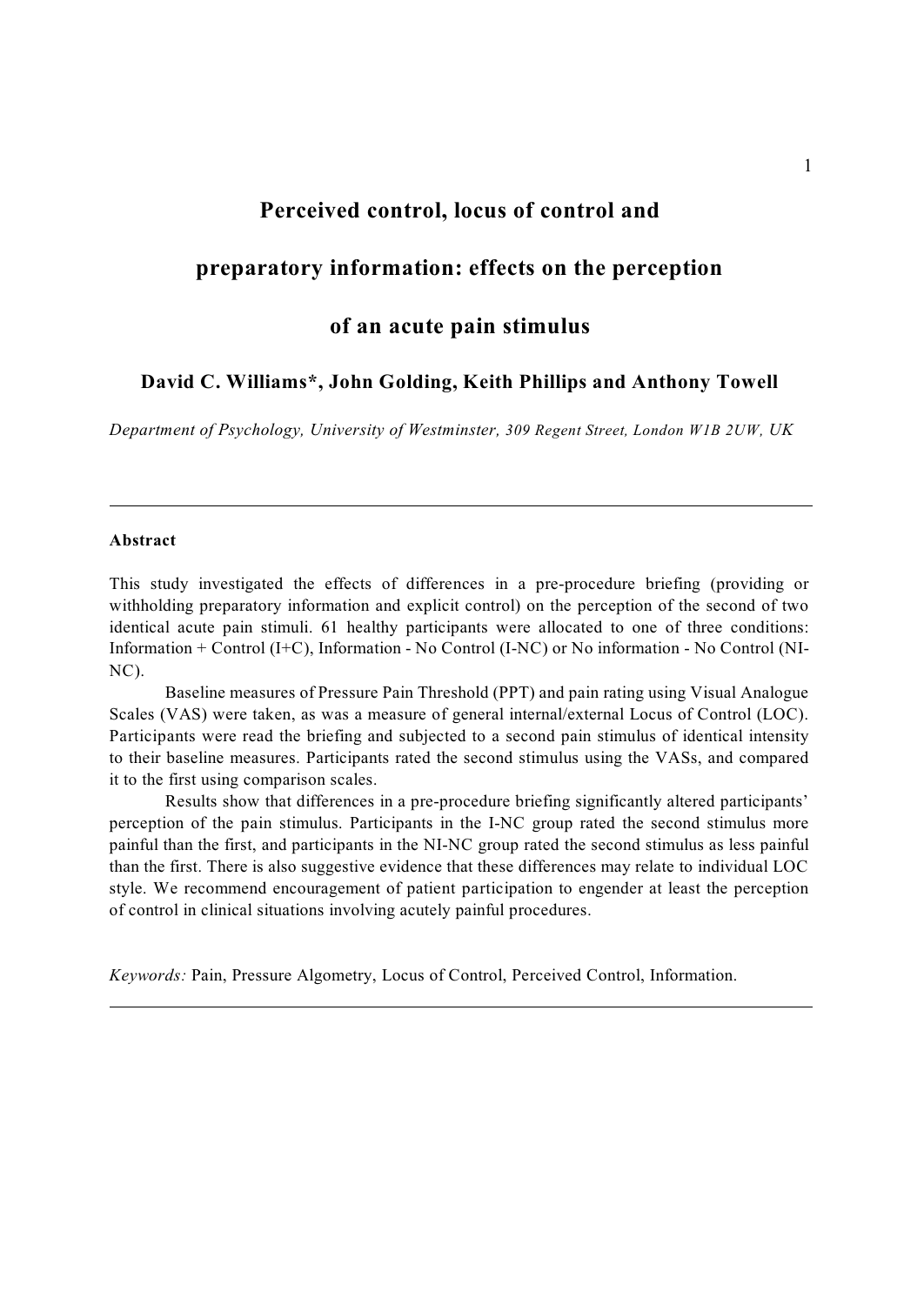# **Perceived control, locus of control and**

# **preparatory information: effects on the perception**

# **of an acute pain stimulus**

# **David C. Williams\*, John Golding, Keith Phillips and Anthony Towell**

*Department of Psychology, University of Westminster, 309 Regent Street, London W1B 2UW, UK*

## **Abstract**

This study investigated the effects of differences in a pre-procedure briefing (providing or withholding preparatory information and explicit control) on the perception of the second of two identical acute pain stimuli. 61 healthy participants were allocated to one of three conditions: Information + Control (I+C), Information - No Control (I-NC) or No information - No Control (NI-NC).

Baseline measures of Pressure Pain Threshold (PPT) and pain rating using Visual Analogue Scales (VAS) were taken, as was a measure of general internal/external Locus of Control (LOC). Participants were read the briefing and subjected to a second pain stimulus of identical intensity to their baseline measures. Participants rated the second stimulus using the VASs, and compared it to the first using comparison scales.

Results show that differences in a pre-procedure briefing significantly altered participants' perception of the pain stimulus. Participants in the I-NC group rated the second stimulus more painful than the first, and participants in the NI-NC group rated the second stimulus as less painful than the first. There is also suggestive evidence that these differences may relate to individual LOC style. We recommend encouragement of patient participation to engender at least the perception of control in clinical situations involving acutely painful procedures.

*Keywords:* Pain, Pressure Algometry, Locus of Control, Perceived Control, Information.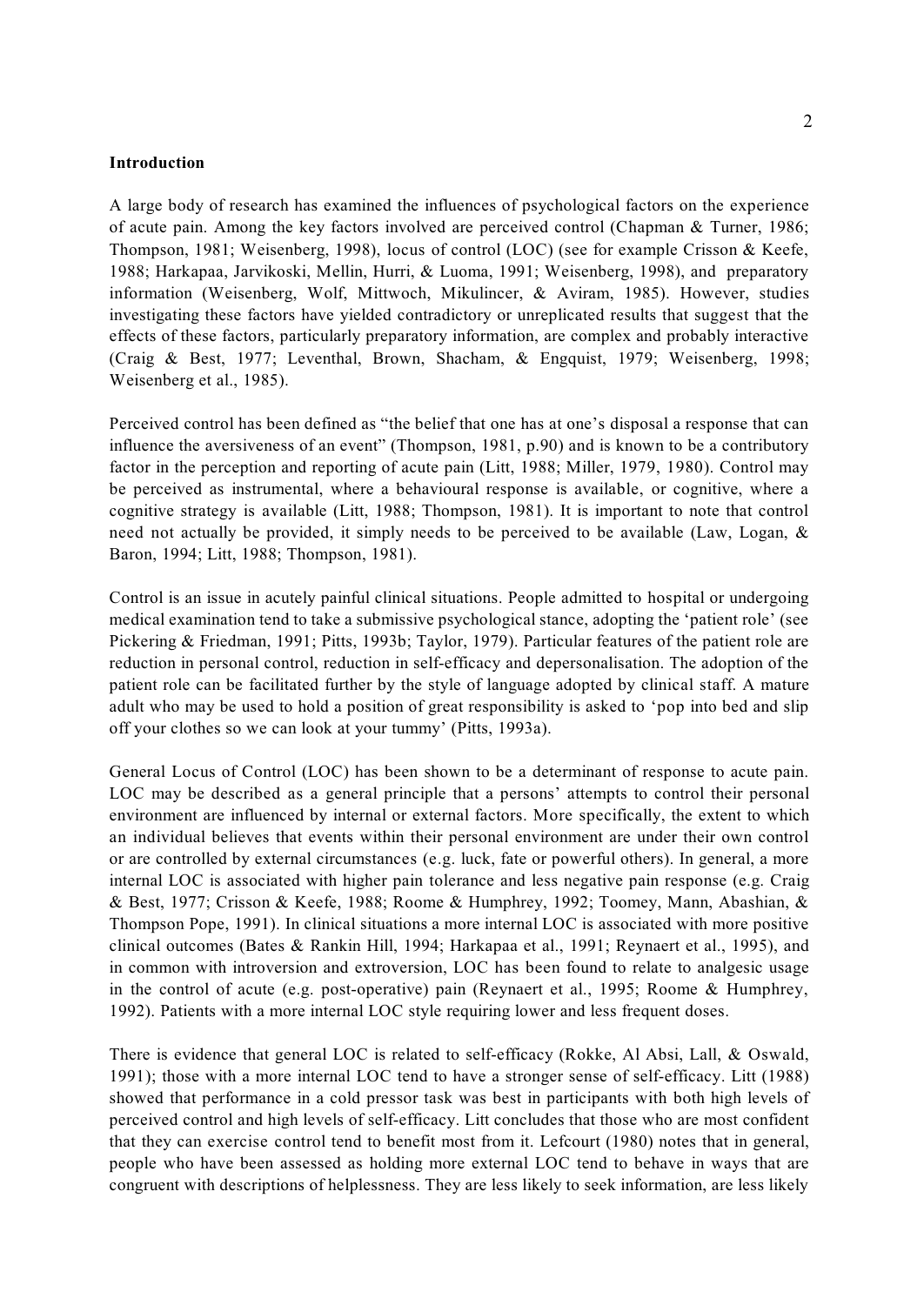### **Introduction**

A large body of research has examined the influences of psychological factors on the experience of acute pain. Among the key factors involved are perceived control [\(Chapman & Turner, 1986;](http://endnote+.cit) [Thompson, 1981; Weisenberg, 1998\)](http://endnote+.cit), locus of control (LOC) [\(see for example Crisson & Keefe,](http://endnote+.cit) [1988; Harkapaa, Jarvikoski, Mellin, Hurri, & Luoma, 1991; Weisenberg, 1998\)](http://endnote+.cit), and preparatory information [\(Weisenberg, Wolf, Mittwoch, Mikulincer, & Aviram, 1985\)](http://endnote+.cit). However, studies investigating these factors have yielded contradictory or unreplicated results that suggest that the effects of these factors, particularly preparatory information, are complex and probably interactive [\(Craig & Best, 1977; Leventhal, Brown, Shacham, & Engquist, 1979; Weisenberg, 1998;](http://endnote+.cit) [Weisenberg et al., 1985\)](http://endnote+.cit).

Perceived control has been defined as "the belief that one has at one's disposal a response that can influence the aversiveness of an event" [\(Thompson, 1981, p.90\)](http://endnote+.cit) and is known to be a contributory factor in the perception and reporting of acute pain [\(Litt, 1988; Miller, 1979,](http://endnote+.cit) 1980). Control may be perceived as instrumental, where a behavioural response is available, or cognitive, where a cognitive strategy is available [\(Litt, 1988; Thompson, 1981\)](http://endnote+.cit). It is important to note that control need not actually be provided, it simply needs to be perceived to be available [\(Law, Logan, &](http://endnote+.cit) [Baron, 1994; Litt, 1988; Thompson, 1981\)](http://endnote+.cit).

Control is an issue in acutely painful clinical situations. People admitted to hospital or undergoing medical examination tend to take a submissive psychological stance, adopting the 'patient role' [\(see](http://endnote+.cit) [Pickering & Friedman, 1991; Pitts, 1993b; Taylor, 1979\)](http://endnote+.cit). Particular features of the patient role are reduction in personal control, reduction in self-efficacy and depersonalisation. The adoption of the patient role can be facilitated further by the style of language adopted by clinical staff. A mature adult who may be used to hold a position of great responsibility is asked to 'pop into bed and slip off your clothes so we can look at your tummy' [\(Pitts, 1993a\)](http://endnote+.cit).

General Locus of Control (LOC) has been shown to be a determinant of response to acute pain. LOC may be described as a general principle that a persons' attempts to control their personal environment are influenced by internal or external factors. More specifically, the extent to which an individual believes that events within their personal environment are under their own control or are controlled by external circumstances (e.g. luck, fate or powerful others). In general, a more internal LOC is associated with higher pain tolerance and less negative pain response [\(e.g. Craig](http://endnote+.cit) [& Best, 1977; Crisson & Keefe, 1988; Roome & Humphrey, 1992; Toomey, Mann, Abashian, &](http://endnote+.cit) [Thompson Pope, 1991\)](http://endnote+.cit). In clinical situations a more internal LOC is associated with more positive clinical outcomes [\(Bates & Rankin Hill, 1994; Harkapaa et al., 1991; Reynaert et al., 1995\)](http://endnote+.cit), and in common with introversion and extroversion, LOC has been found to relate to analgesic usage in the control of acute (e.g. post-operative) pain (Reynaert et al., 1995; [Roome & Humphrey,](http://endnote+.cit) [1992\)](http://endnote+.cit). Patients with a more internal LOC style requiring lower and less frequent doses.

There is evidence that general LOC is related to self-efficacy (Rokke, Al [Absi, Lall, & Oswald,](http://endnote+.cit) [1991\)](http://endnote+.cit); those with a more internal LOC tend to have a stronger sense of self-efficacy. Litt [\(1988\)](http://endnote+.cit) showed that performance in a cold pressor task was best in participants with both high levels of perceived control and high levels of self-efficacy. Litt concludes that those who are most confident that they can exercise control tend to benefit most from it. Lefcourt [\(1980\)](http://endnote+.cit) notes that in general, people who have been assessed as holding more external LOC tend to behave in ways that are congruent with descriptions of helplessness. They are less likely to seek information, are less likely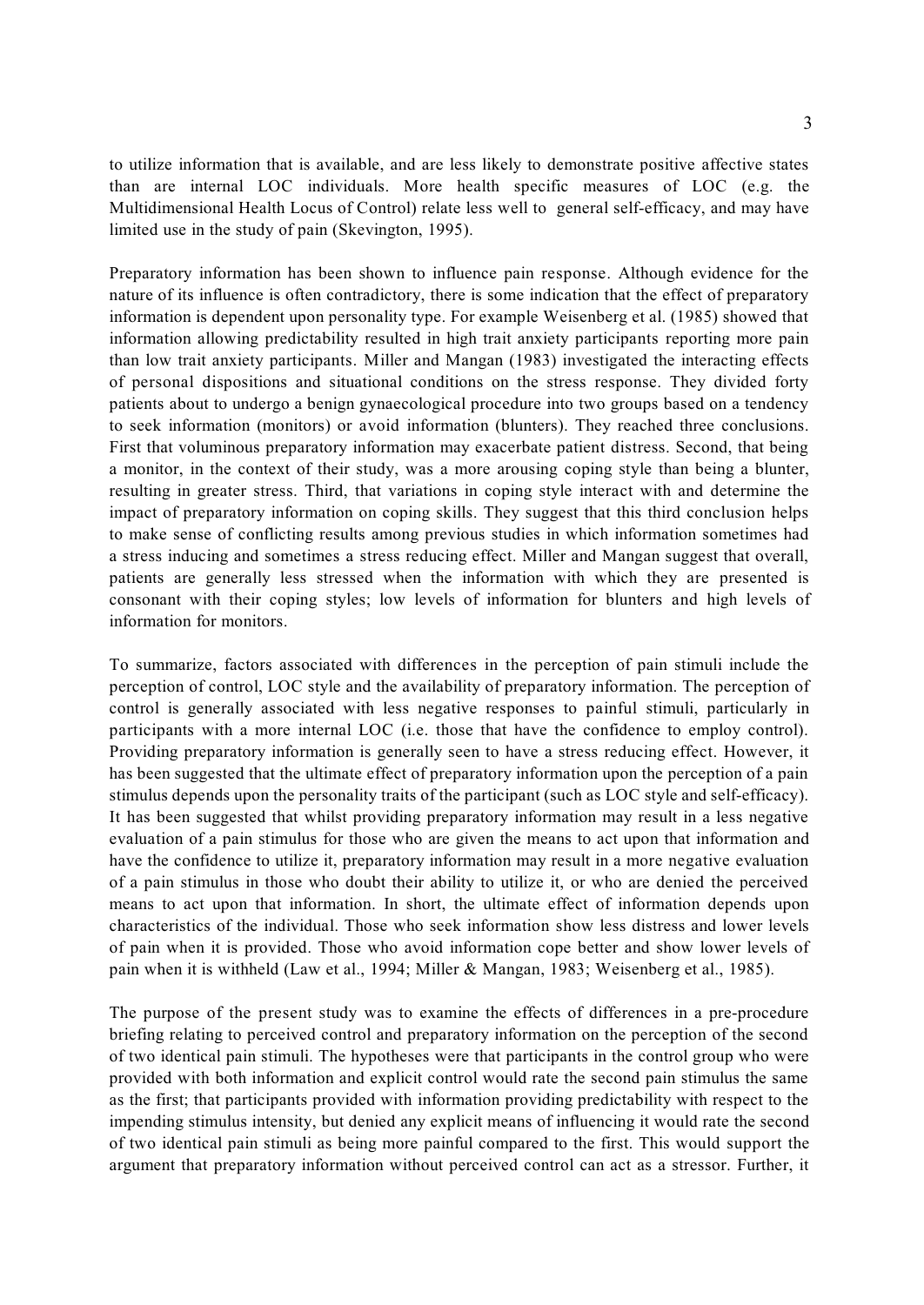to utilize information that is available, and are less likely to demonstrate positive affective states than are internal LOC individuals. More health specific measures of LOC (e.g. the Multidimensional Health Locus of Control) relate less well to general self-efficacy, and may have limited use in the study of pain [\(Skevington, 1995\)](http://endnote+.cit).

Preparatory information has been shown to influence pain response. Although evidence for the nature of its influence is often contradictory, there is some indication that the effect of preparatory information is dependent upon personality type. For example Weisenberg et al. [\(1985\)](http://endnote+.cit) showed that information allowing predictability resulted in high trait anxiety participants reporting more pain than low trait anxiety participants. Miller and Mangan [\(1983\)](http://endnote+.cit) investigated the interacting effects of personal dispositions and situational conditions on the stress response. They divided forty patients about to undergo a benign gynaecological procedure into two groups based on a tendency to seek information (monitors) or avoid information (blunters). They reached three conclusions. First that voluminous preparatory information may exacerbate patient distress. Second, that being a monitor, in the context of their study, was a more arousing coping style than being a blunter, resulting in greater stress. Third, that variations in coping style interact with and determine the impact of preparatory information on coping skills. They suggest that this third conclusion helps to make sense of conflicting results among previous studies in which information sometimes had a stress inducing and sometimes a stress reducing effect. Miller and Mangan suggest that overall, patients are generally less stressed when the information with which they are presented is consonant with their coping styles; low levels of information for blunters and high levels of information for monitors.

To summarize, factors associated with differences in the perception of pain stimuli include the perception of control, LOC style and the availability of preparatory information. The perception of control is generally associated with less negative responses to painful stimuli, particularly in participants with a more internal LOC (i.e. those that have the confidence to employ control). Providing preparatory information is generally seen to have a stress reducing effect. However, it has been suggested that the ultimate effect of preparatory information upon the perception of a pain stimulus depends upon the personality traits of the participant (such as LOC style and self-efficacy). It has been suggested that whilst providing preparatory information may result in a less negative evaluation of a pain stimulus for those who are given the means to act upon that information and have the confidence to utilize it, preparatory information may result in a more negative evaluation of a pain stimulus in those who doubt their ability to utilize it, or who are denied the perceived means to act upon that information. In short, the ultimate effect of information depends upon characteristics of the individual. Those who seek information show less distress and lower levels of pain when it is provided. Those who avoid information cope better and show lower levels of pain when it is withheld [\(Law et al., 1994; Miller & Mangan, 1983; Weisenberg et al., 1985\)](http://endnote+.cit).

The purpose of the present study was to examine the effects of differences in a pre-procedure briefing relating to perceived control and preparatory information on the perception of the second of two identical pain stimuli. The hypotheses were that participants in the control group who were provided with both information and explicit control would rate the second pain stimulus the same as the first; that participants provided with information providing predictability with respect to the impending stimulus intensity, but denied any explicit means of influencing it would rate the second of two identical pain stimuli as being more painful compared to the first. This would support the argument that preparatory information without perceived control can act as a stressor. Further, it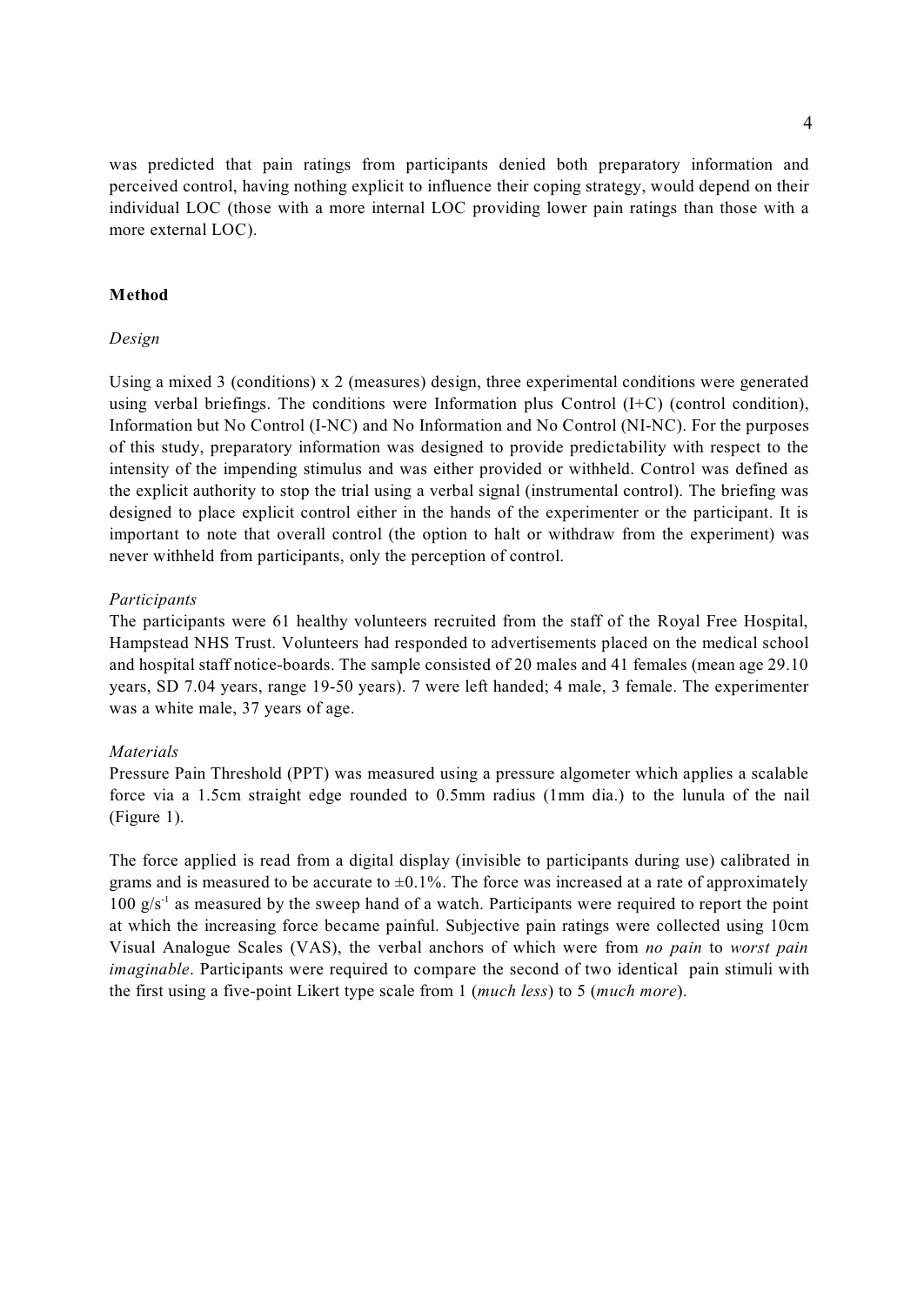was predicted that pain ratings from participants denied both preparatory information and perceived control, having nothing explicit to influence their coping strategy, would depend on their individual LOC (those with a more internal LOC providing lower pain ratings than those with a more external LOC).

#### **Method**

#### *Design*

Using a mixed 3 (conditions) x 2 (measures) design, three experimental conditions were generated using verbal briefings. The conditions were Information plus Control  $(I+C)$  (control condition), Information but No Control (I-NC) and No Information and No Control (NI-NC). For the purposes of this study, preparatory information was designed to provide predictability with respect to the intensity of the impending stimulus and was either provided or withheld. Control was defined as the explicit authority to stop the trial using a verbal signal (instrumental control). The briefing was designed to place explicit control either in the hands of the experimenter or the participant. It is important to note that overall control (the option to halt or withdraw from the experiment) was never withheld from participants, only the perception of control.

#### *Participants*

The participants were 61 healthy volunteers recruited from the staff of the Royal Free Hospital, Hampstead NHS Trust. Volunteers had responded to advertisements placed on the medical school and hospital staff notice-boards. The sample consisted of 20 males and 41 females (mean age 29.10 years, SD 7.04 years, range 19-50 years). 7 were left handed; 4 male, 3 female. The experimenter was a white male, 37 years of age.

#### *Materials*

Pressure Pain Threshold (PPT) was measured using a pressure algometer which applies a scalable force via a 1.5cm straight edge rounded to 0.5mm radius (1mm dia.) to the lunula of the nail (Figure 1).

The force applied is read from a digital display (invisible to participants during use) calibrated in grams and is measured to be accurate to  $\pm 0.1\%$ . The force was increased at a rate of approximately 100  $g/s<sup>-1</sup>$  as measured by the sweep hand of a watch. Participants were required to report the point at which the increasing force became painful. Subjective pain ratings were collected using 10cm Visual Analogue Scales (VAS), the verbal anchors of which were from *no pain* to *worst pain imaginable*. Participants were required to compare the second of two identical pain stimuli with the first using a five-point Likert type scale from 1 (*much less*) to 5 (*much more*).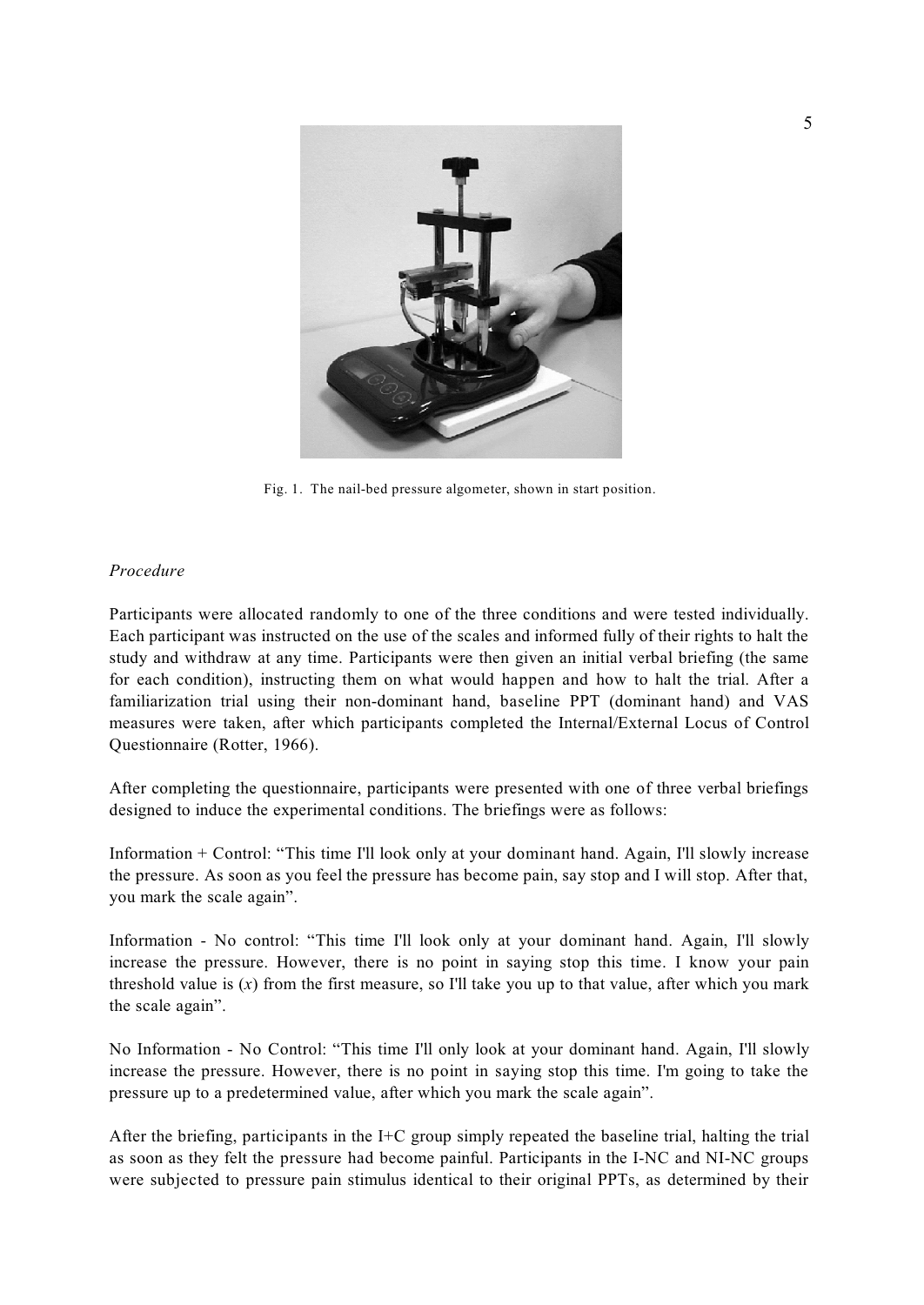

Fig. 1. The nail-bed pressure algometer, shown in start position.

## *Procedure*

Participants were allocated randomly to one of the three conditions and were tested individually. Each participant was instructed on the use of the scales and informed fully of their rights to halt the study and withdraw at any time. Participants were then given an initial verbal briefing (the same for each condition), instructing them on what would happen and how to halt the trial. After a familiarization trial using their non-dominant hand, baseline PPT (dominant hand) and VAS measures were taken, after which participants completed the Internal/External Locus of Control Questionnaire [\(Rotter, 1966\)](http://endnote+.cit).

After completing the questionnaire, participants were presented with one of three verbal briefings designed to induce the experimental conditions. The briefings were as follows:

Information + Control: "This time I'll look only at your dominant hand. Again, I'll slowly increase the pressure. As soon as you feel the pressure has become pain, say stop and I will stop. After that, you mark the scale again".

Information - No control: "This time I'll look only at your dominant hand. Again, I'll slowly increase the pressure. However, there is no point in saying stop this time. I know your pain threshold value is  $(x)$  from the first measure, so I'll take you up to that value, after which you mark the scale again".

No Information - No Control: "This time I'll only look at your dominant hand. Again, I'll slowly increase the pressure. However, there is no point in saying stop this time. I'm going to take the pressure up to a predetermined value, after which you mark the scale again".

After the briefing, participants in the I+C group simply repeated the baseline trial, halting the trial as soon as they felt the pressure had become painful. Participants in the I-NC and NI-NC groups were subjected to pressure pain stimulus identical to their original PPTs, as determined by their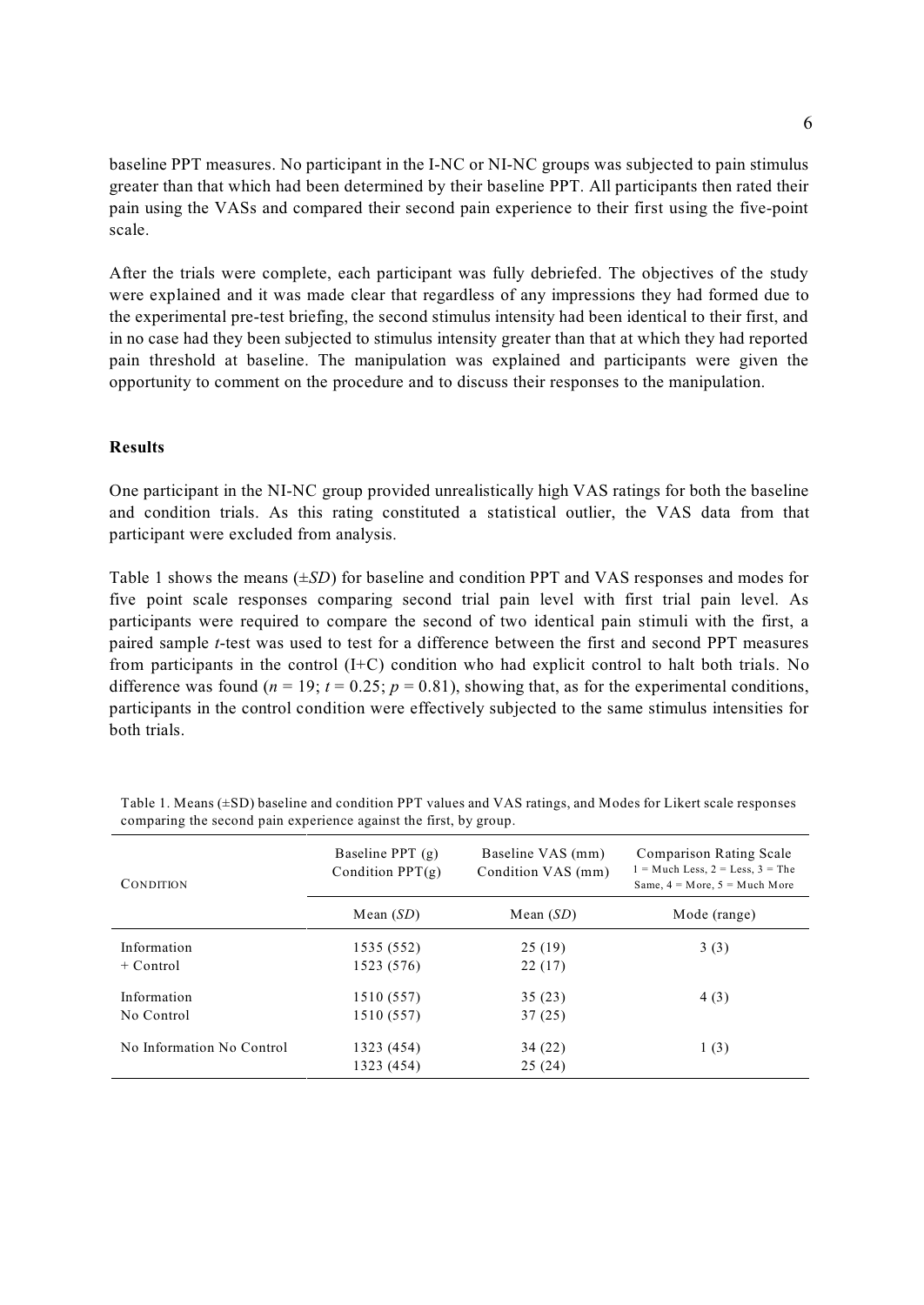baseline PPT measures. No participant in the I-NC or NI-NC groups was subjected to pain stimulus greater than that which had been determined by their baseline PPT. All participants then rated their pain using the VASs and compared their second pain experience to their first using the five-point scale.

After the trials were complete, each participant was fully debriefed. The objectives of the study were explained and it was made clear that regardless of any impressions they had formed due to the experimental pre-test briefing, the second stimulus intensity had been identical to their first, and in no case had they been subjected to stimulus intensity greater than that at which they had reported pain threshold at baseline. The manipulation was explained and participants were given the opportunity to comment on the procedure and to discuss their responses to the manipulation.

### **Results**

One participant in the NI-NC group provided unrealistically high VAS ratings for both the baseline and condition trials. As this rating constituted a statistical outlier, the VAS data from that participant were excluded from analysis.

Table 1 shows the means  $(\pm SD)$  for baseline and condition PPT and VAS responses and modes for five point scale responses comparing second trial pain level with first trial pain level. As participants were required to compare the second of two identical pain stimuli with the first, a paired sample *t*-test was used to test for a difference between the first and second PPT measures from participants in the control (I+C) condition who had explicit control to halt both trials. No difference was found  $(n = 19; t = 0.25; p = 0.81)$ , showing that, as for the experimental conditions, participants in the control condition were effectively subjected to the same stimulus intensities for both trials.

| <b>CONDITION</b>          | Baseline PPT $(g)$<br>Condition $PPT(g)$ | Baseline VAS (mm)<br>Condition VAS (mm) | Comparison Rating Scale<br>$1 = Much Less, 2 = Less, 3 = The$<br>Same, $4 = \text{More}, 5 = \text{Much More}$ |  |  |
|---------------------------|------------------------------------------|-----------------------------------------|----------------------------------------------------------------------------------------------------------------|--|--|
|                           | Mean $(SD)$                              | Mean $(SD)$                             | Mode (range)                                                                                                   |  |  |
| Information               | 1535 (552)                               | 25(19)                                  | 3(3)                                                                                                           |  |  |
| $+$ Control               | 1523 (576)                               | 22(17)                                  |                                                                                                                |  |  |
| Information               | 1510 (557)                               | 35(23)                                  | 4(3)                                                                                                           |  |  |
| No Control                | 1510 (557)                               | 37(25)                                  |                                                                                                                |  |  |
| No Information No Control | 1323 (454)                               | 34 (22)                                 | 1(3)                                                                                                           |  |  |
|                           | 1323 (454)                               | 25(24)                                  |                                                                                                                |  |  |

Table 1. Means (±SD) baseline and condition PPT values and VAS ratings, and Modes for Likert scale responses comparing the second pain experience against the first, by group.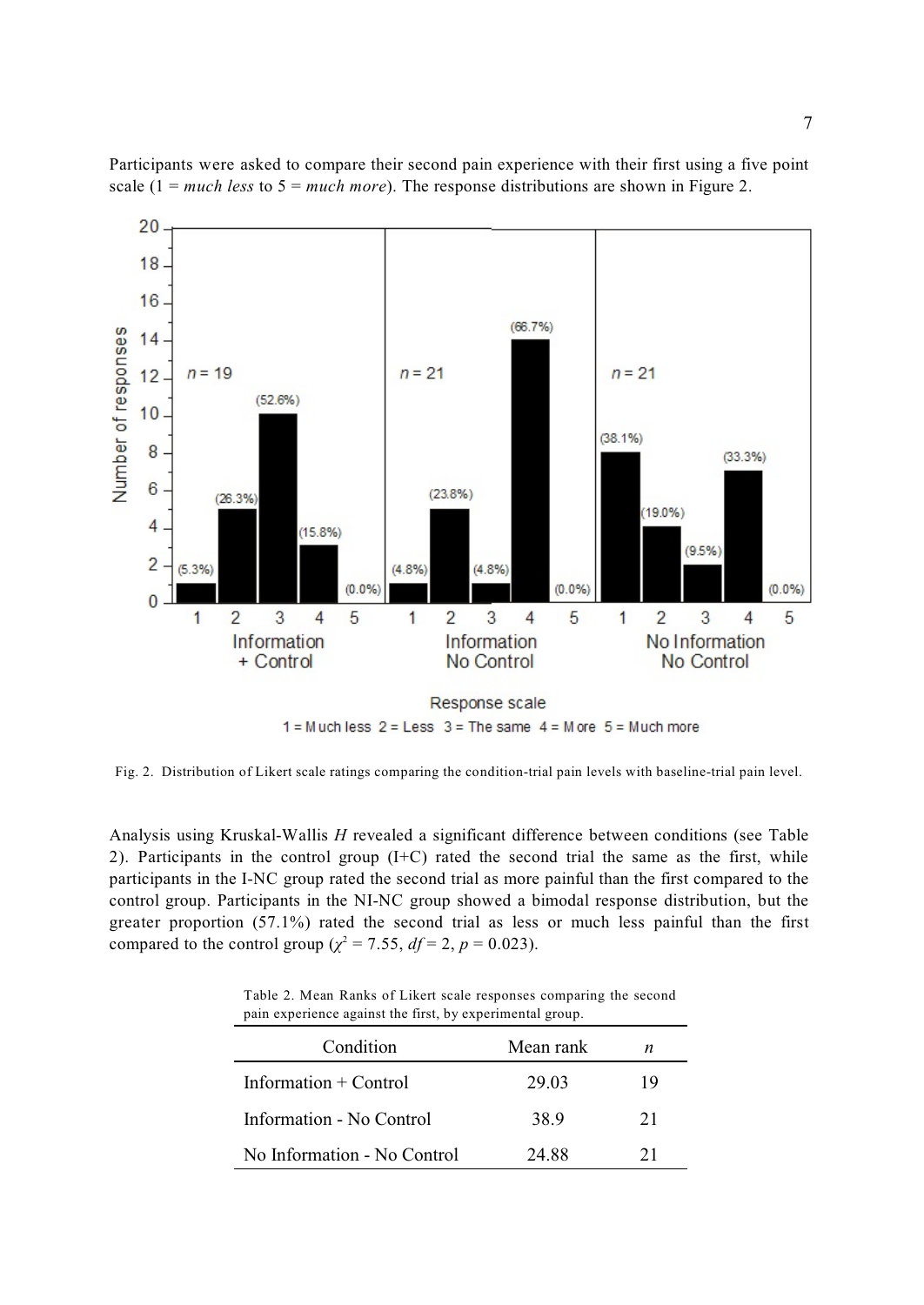



 $1 = M$  uch less  $2 =$  Less  $3 =$  The same  $4 = M$  ore  $5 = M$ uch more

Fig. 2. Distribution of Likert scale ratings comparing the condition-trial pain levels with baseline-trial pain level.

Analysis using Kruskal-Wallis *H* revealed a significant difference between conditions (see Table 2). Participants in the control group  $(I+C)$  rated the second trial the same as the first, while participants in the I-NC group rated the second trial as more painful than the first compared to the control group. Participants in the NI-NC group showed a bimodal response distribution, but the greater proportion (57.1%) rated the second trial as less or much less painful than the first compared to the control group ( $\chi^2 = 7.55$ ,  $df = 2$ ,  $p = 0.023$ ).

|  |  |  | Table 2. Mean Ranks of Likert scale responses comparing the second |  |  |
|--|--|--|--------------------------------------------------------------------|--|--|
|  |  |  | pain experience against the first, by experimental group.          |  |  |

| Condition                   | Mean rank | n  |
|-----------------------------|-----------|----|
| Information $+$ Control     | 29.03     | 19 |
| Information - No Control    | 38.9      | 21 |
| No Information - No Control | 24.88     | 21 |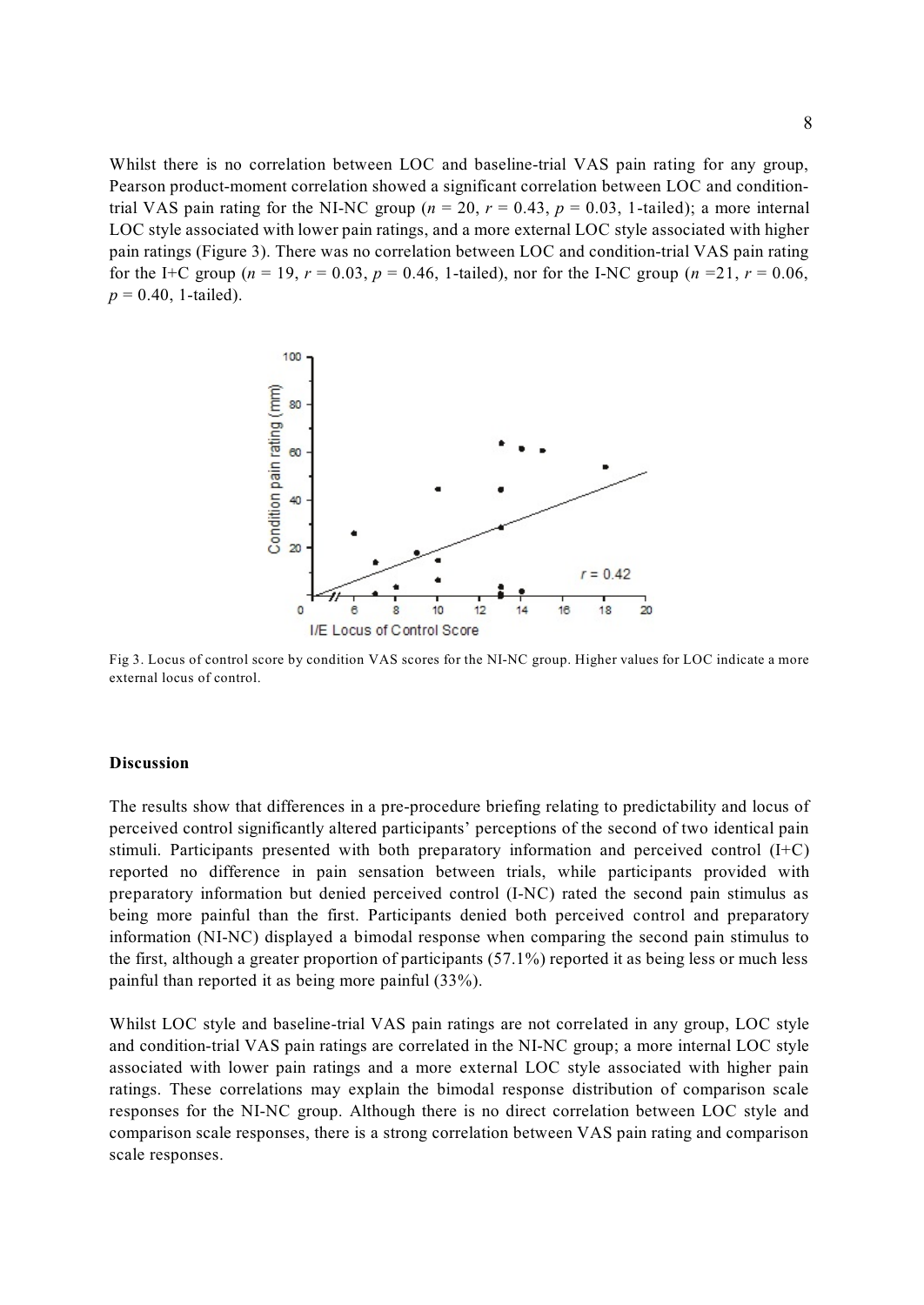Whilst there is no correlation between LOC and baseline-trial VAS pain rating for any group, Pearson product-moment correlation showed a significant correlation between LOC and conditiontrial VAS pain rating for the NI-NC group ( $n = 20$ ,  $r = 0.43$ ,  $p = 0.03$ , 1-tailed); a more internal LOC style associated with lower pain ratings, and a more external LOC style associated with higher pain ratings (Figure 3). There was no correlation between LOC and condition-trial VAS pain rating for the I+C group ( $n = 19$ ,  $r = 0.03$ ,  $p = 0.46$ , 1-tailed), nor for the I-NC group ( $n = 21$ ,  $r = 0.06$ ,  $p = 0.40$ , 1-tailed).



Fig 3. Locus of control score by condition VAS scores for the NI-NC group. Higher values for LOC indicate a more external locus of control.

#### **Discussion**

The results show that differences in a pre-procedure briefing relating to predictability and locus of perceived control significantly altered participants' perceptions of the second of two identical pain stimuli. Participants presented with both preparatory information and perceived control (I+C) reported no difference in pain sensation between trials, while participants provided with preparatory information but denied perceived control (I-NC) rated the second pain stimulus as being more painful than the first. Participants denied both perceived control and preparatory information (NI-NC) displayed a bimodal response when comparing the second pain stimulus to the first, although a greater proportion of participants (57.1%) reported it as being less or much less painful than reported it as being more painful (33%).

Whilst LOC style and baseline-trial VAS pain ratings are not correlated in any group, LOC style and condition-trial VAS pain ratings are correlated in the NI-NC group; a more internal LOC style associated with lower pain ratings and a more external LOC style associated with higher pain ratings. These correlations may explain the bimodal response distribution of comparison scale responses for the NI-NC group. Although there is no direct correlation between LOC style and comparison scale responses, there is a strong correlation between VAS pain rating and comparison scale responses.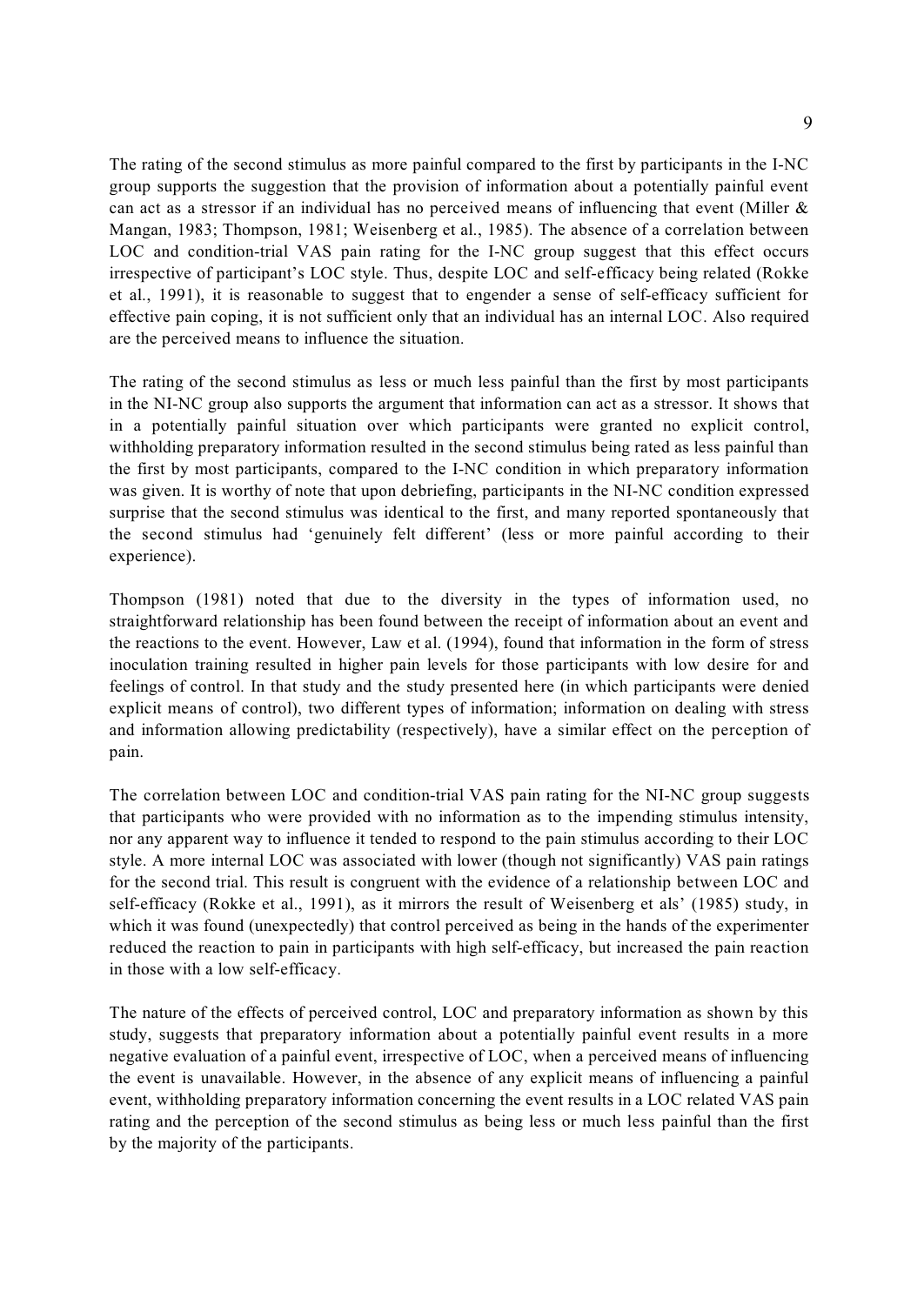The rating of the second stimulus as more painful compared to the first by participants in the I-NC group supports the suggestion that the provision of information about a potentially painful event can act as a stressor if an individual has no perceived means of influencing that event [\(Miller &](http://endnote+.cit) [Mangan, 1983; Thompson, 1981; Weisenberg et al., 1985\)](http://endnote+.cit). The absence of a correlation between LOC and condition-trial VAS pain rating for the I-NC group suggest that this effect occurs irrespective of participant's LOC style. Thus, despite LOC and self-efficacy being related [\(Rokke](http://endnote+.cit) [et al., 1991\)](http://endnote+.cit), it is reasonable to suggest that to engender a sense of self-efficacy sufficient for effective pain coping, it is not sufficient only that an individual has an internal LOC. Also required are the perceived means to influence the situation.

The rating of the second stimulus as less or much less painful than the first by most participants in the NI-NC group also supports the argument that information can act as a stressor. It shows that in a potentially painful situation over which participants were granted no explicit control, withholding preparatory information resulted in the second stimulus being rated as less painful than the first by most participants, compared to the I-NC condition in which preparatory information was given. It is worthy of note that upon debriefing, participants in the NI-NC condition expressed surprise that the second stimulus was identical to the first, and many reported spontaneously that the second stimulus had 'genuinely felt different' (less or more painful according to their experience).

Thompson [\(1981\)](http://endnote+.cit) noted that due to the diversity in the types of information used, no straightforward relationship has been found between the receipt of information about an event and the reactions to the event. However, Law et al. [\(1994\)](http://endnote+.cit), found that information in the form of stress inoculation training resulted in higher pain levels for those participants with low desire for and feelings of control. In that study and the study presented here (in which participants were denied explicit means of control), two different types of information; information on dealing with stress and information allowing predictability (respectively), have a similar effect on the perception of pain.

The correlation between LOC and condition-trial VAS pain rating for the NI-NC group suggests that participants who were provided with no information as to the impending stimulus intensity, nor any apparent way to influence it tended to respond to the pain stimulus according to their LOC style. A more internal LOC was associated with lower (though not significantly) VAS pain ratings for the second trial. This result is congruent with the evidence of a relationship between LOC and self-efficacy [\(Rokke et al., 1991\)](http://endnote+.cit), as it mirrors the result of Weisenberg et als' [\(1985\)](http://endnote+.cit) study, in which it was found (unexpectedly) that control perceived as being in the hands of the experimenter reduced the reaction to pain in participants with high self-efficacy, but increased the pain reaction in those with a low self-efficacy.

The nature of the effects of perceived control, LOC and preparatory information as shown by this study, suggests that preparatory information about a potentially painful event results in a more negative evaluation of a painful event, irrespective of LOC, when a perceived means of influencing the event is unavailable. However, in the absence of any explicit means of influencing a painful event, withholding preparatory information concerning the event results in a LOC related VAS pain rating and the perception of the second stimulus as being less or much less painful than the first by the majority of the participants.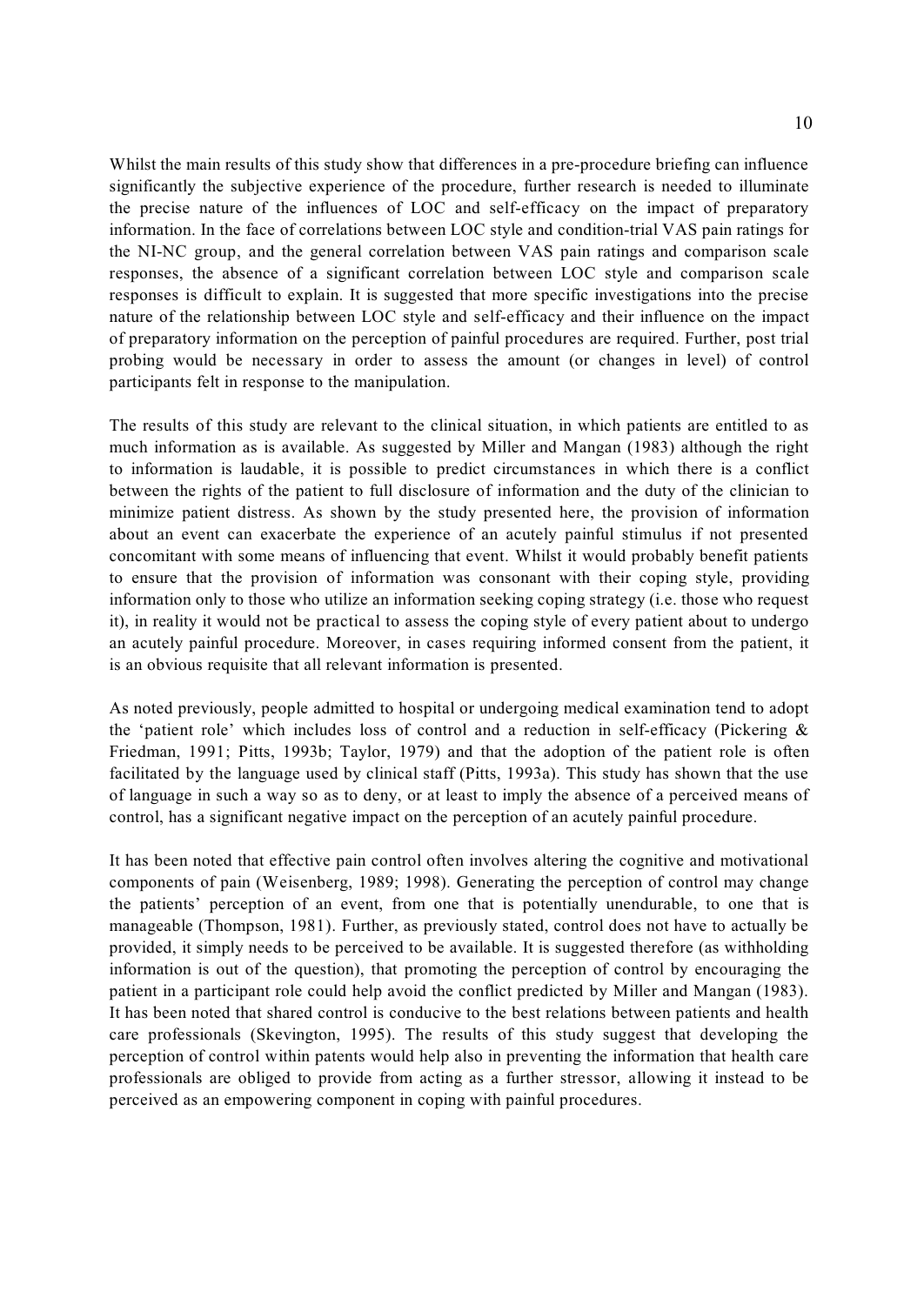Whilst the main results of this study show that differences in a pre-procedure briefing can influence significantly the subjective experience of the procedure, further research is needed to illuminate the precise nature of the influences of LOC and self-efficacy on the impact of preparatory information. In the face of correlations between LOC style and condition-trial VAS pain ratings for the NI-NC group, and the general correlation between VAS pain ratings and comparison scale responses, the absence of a significant correlation between LOC style and comparison scale responses is difficult to explain. It is suggested that more specific investigations into the precise nature of the relationship between LOC style and self-efficacy and their influence on the impact of preparatory information on the perception of painful procedures are required. Further, post trial probing would be necessary in order to assess the amount (or changes in level) of control participants felt in response to the manipulation.

The results of this study are relevant to the clinical situation, in which patients are entitled to as much information as is available. As suggested by Miller and Mangan [\(1983\)](http://endnote+.cit) although the right to information is laudable, it is possible to predict circumstances in which there is a conflict between the rights of the patient to full disclosure of information and the duty of the clinician to minimize patient distress. As shown by the study presented here, the provision of information about an event can exacerbate the experience of an acutely painful stimulus if not presented concomitant with some means of influencing that event. Whilst it would probably benefit patients to ensure that the provision of information was consonant with their coping style, providing information only to those who utilize an information seeking coping strategy (i.e. those who request it), in reality it would not be practical to assess the coping style of every patient about to undergo an acutely painful procedure. Moreover, in cases requiring informed consent from the patient, it is an obvious requisite that all relevant information is presented.

As noted previously, people admitted to hospital or undergoing medical examination tend to adopt the 'patient role' which includes loss of control and a reduction in self-efficacy [\(Pickering &](http://endnote+.cit) [Friedman, 1991; Pitts, 1993b; Taylor, 1979\)](http://endnote+.cit) and that the adoption of the patient role is often facilitated by the language used by clinical staff [\(Pitts, 1993a\)](http://endnote+.cit). This study has shown that the use of language in such a way so as to deny, or at least to imply the absence of a perceived means of control, has a significant negative impact on the perception of an acutely painful procedure.

It has been noted that effective pain control often involves altering the cognitive and motivational components of pain [\(Weisenberg, 1989; 1998\).](http://endnote+.cit) Generating the perception of control may change the patients' perception of an event, from one that is potentially unendurable, to one that is manageable [\(Thompson, 1981\)](http://endnote+.cit). Further, as previously stated, control does not have to actually be provided, it simply needs to be perceived to be available. It is suggested therefore (as withholding information is out of the question), that promoting the perception of control by encouraging the patient in a participant role could help avoid the conflict predicted by Miller and Mangan [\(1983\)](http://endnote+.cit). It has been noted that shared control is conducive to the best relations between patients and health care professionals [\(Skevington, 1995\)](http://endnote+.cit). The results of this study suggest that developing the perception of control within patents would help also in preventing the information that health care professionals are obliged to provide from acting as a further stressor, allowing it instead to be perceived as an empowering component in coping with painful procedures.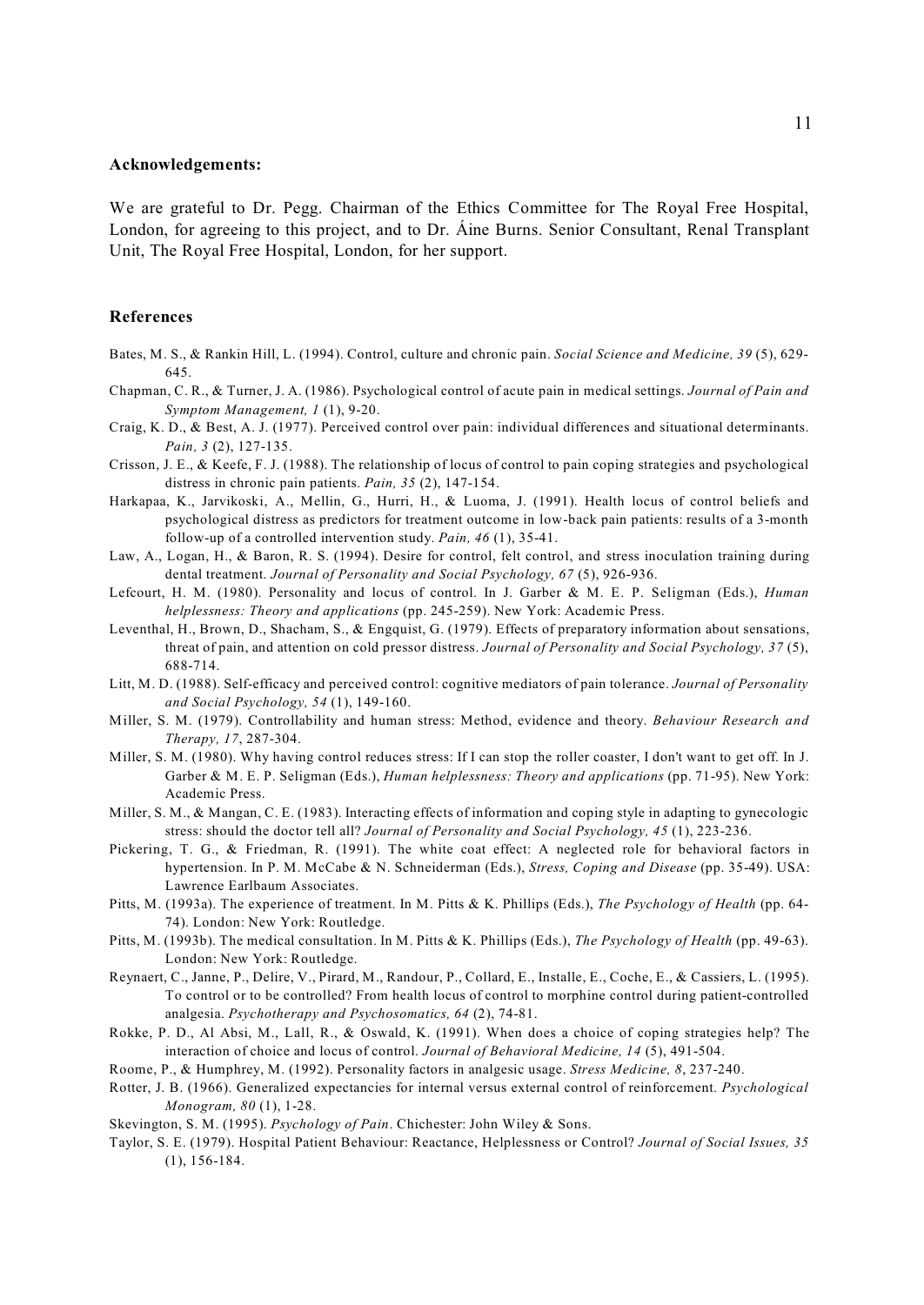#### **Acknowledgements:**

We are grateful to Dr. Pegg. Chairman of the Ethics Committee for The Royal Free Hospital, London, for agreeing to this project, and to Dr. Áine Burns. Senior Consultant, Renal Transplant Unit, The Royal Free Hospital, London, for her support.

### **References**

- [Bates, M. S., & Rankin Hill, L. \(1994\). Control, culture and](http://endnote+.bib) chronic pain. *Social Science and Medicine, 39* (5), 629- [645.](http://endnote+.bib)
- [Chapman, C. R., & Turner, J. A. \(1986\). Psychological](http://endnote+.bib) control of acute pain in medical settings. *Journal of Pain and [Symptom Management, 1](http://endnote+.bib)* (1), 9-20.
- Craig, K. D., & Best, A. J. (1977). Perceived control over pain: individual [differences and situational determinants.](http://endnote+.bib) *Pain, 3* [\(2\), 127-135.](http://endnote+.bib)
- Crisson, J. E., & Keefe, F. J. (1988). The relationship of locus of control to pain [coping strategies and psychological](http://endnote+.bib) [distress in chronic pain patients.](http://endnote+.bib) *Pain, 35* (2), 147-154.
- Harkapaa, K., Jarvikoski, [A., Mellin, G., Hurri, H., & Luoma, J. \(1991\). Health locus of control beliefs and](http://endnote+.bib) [psychological distress as predictors for treatment outcome in low-back pain patients: results of a 3-month](http://endnote+.bib) [follow-up of a controlled intervention study.](http://endnote+.bib) *Pain, 46* (1), 35-41.
- [Law, A., Logan, H., & Baron, R. S. \(1994\). Desire for control, felt control,](http://endnote+.bib) and stress inoculation training during dental treatment. *[Journal of Personality and Social Psychology, 67](http://endnote+.bib)* (5), 926-936.
- [Lefcourt, H. M. \(1980\). Personality and locus of control. In J. Garber & M.](http://endnote+.bib) E. P. Seligman (Eds.), *Human helplessness: Theory and applications* [\(pp. 245-259\). New York: Academic Press.](http://endnote+.bib)
- [Leventhal, H., Brown, D., Shacham, S., & Engquist, G. \(1979\). Effects of preparatory](http://endnote+.bib) information about sensations, [threat of pain, and attention on cold pressor distress.](http://endnote+.bib) *Journal of Personality and Social Psychology, 37* (5), [688-714.](http://endnote+.bib)
- [Litt, M. D. \(1988\). Self-efficacy](http://endnote+.bib) and perceived control: cognitive mediators of pain tolerance. *Journal of Personality [and Social Psychology, 54](http://endnote+.bib)* (1), 149-160.
- [Miller, S. M. \(1979\). Controllability and human stress: Method, evidence and theory.](http://endnote+.bib) *Behaviour Research and [Therapy, 17](http://endnote+.bib)*, 287-304.
- Miller, S. M. (1980). Why [having control reduces stress: If I can stop the roller coaster, I don't want to get off. In J.](http://endnote+.bib) Garber & M. E. P. Seligman (Eds.), *[Human helplessness: Theory and applications](http://endnote+.bib)* (pp. 71-95). New York: [Academic Press.](http://endnote+.bib)
- Miller, S. M., & Mangan, C. E. (1983). Interacting effects of [information and coping style in adapting to gynecologic](http://endnote+.bib) stress: should the doctor tell all? *[Journal of Personality and Social Psychology, 45](http://endnote+.bib)* (1), 223-236.
- [Pickering, T. G., & Friedman, R. \(1991\). The white coat effect: A neglected role for behavioral factors in](http://endnote+.bib) hypertension. In P. M. McCabe & N. Schneiderman (Eds.), *[Stress, Coping and Disease](http://endnote+.bib)* (pp. 35-49). USA: [Lawrence Earlbaum Associates.](http://endnote+.bib)
- [Pitts, M. \(1993a\). The experience of treatment. In M. Pitts & K. Phillips \(Eds.\),](http://endnote+.bib) *The Psychology of Health* (pp. 64- [74\). London: New York: Routledge.](http://endnote+.bib)
- Pitts, M. (1993b). The medical consultation. In M. Pitts & K. Phillips (Eds.), *[The Psychology of Health](http://endnote+.bib)* (pp. 49-63). [London: New York: Routledge.](http://endnote+.bib)
- Reynaert, C., Janne, P., Delire, V., [Pirard, M., Randour, P., Collard, E., Installe, E., Coche, E., & Cassiers, L. \(1995\).](http://endnote+.bib) [To control or to be controlled? From health locus of](http://endnote+.bib) control to morphine control during patient-controlled analgesia. *[Psychotherapy and Psychosomatics, 64](http://endnote+.bib)* (2), 74-81.
- Rokke, P. D., Al Absi, M., Lall, [R., & Oswald, K. \(1991\). When does a choice of coping strategies help? The](http://endnote+.bib) [interaction of choice and locus of control.](http://endnote+.bib) *Journal of Behavioral Medicine, 14* (5), 491-504.
- [Roome, P., & Humphrey, M. \(1992\). Personality factors in analgesic usage.](http://endnote+.bib) *Stress Medicine, 8*, 237-240.
- [Rotter, J. B. \(1966\). Generalized expectancies for internal versus external control of reinforcement.](http://endnote+.bib) *Psychological [Monogram, 80](http://endnote+.bib)* (1), 1-28.
- Skevington, S. M. (1995). *Psychology of Pain*[. Chichester: John Wiley & Sons.](http://endnote+.bib)
- [Taylor, S. E. \(1979\). Hospital Patient Behaviour: Reactance, Helplessness or Control?](http://endnote+.bib) *Journal of Social Issues, 35* [\(1\), 156-184.](http://endnote+.bib)